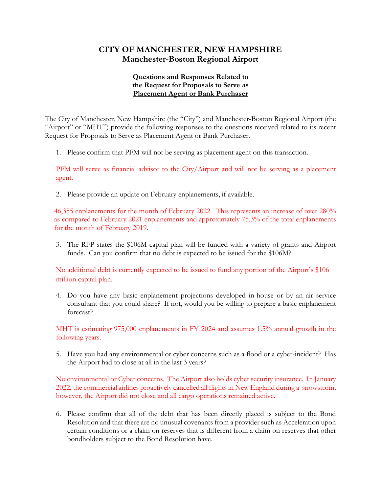## **CITY OF MANCHESTER, NEW HAMPSHIRE Manchester-Boston Regional Airport**

## **Questions and Responses Related to the Request for Proposals to Serve as Placement Agent or Bank Purchaser**

The City of Manchester, New Hampshire (the "City") and Manchester-Boston Regional Airport (the "Airport" or "MHT") provide the following responses to the questions received related to its recent Request for Proposals to Serve as Placement Agent or Bank Purchaser.

1. Please confirm that PFM will not be serving as placement agent on this transaction.

PFM will serve as financial advisor to the City/Airport and will not be serving as a placement agent.

2. Please provide an update on February enplanements, if available.

46,355 enplanements for the month of February 2022. This represents an increase of over 280% as compared to February 2021 enplanements and approximately 75.3% of the total enplanements for the month of February 2019.

3. The RFP states the \$106M capital plan will be funded with a variety of grants and Airport funds. Can you confirm that no debt is expected to be issued for the \$106M?

No additional debt is currently expected to be issued to fund any portion of the Airport's \$106 million capital plan.

4. Do you have any basic enplanement projections developed in-house or by an air service consultant that you could share? If not, would you be willing to prepare a basic enplanement forecast?

MHT is estimating 975,000 enplanements in FY 2024 and assumes 1.5% annual growth in the following years.

5. Have you had any environmental or cyber concerns such as a flood or a cyber-incident? Has the Airport had to close at all in the last 3 years?

No environmental or Cyber concerns. The Airport also holds cyber security insurance. In January 2022, the commercial airlines proactively cancelled all flights in New England during a snowstorm; however, the Airport did not close and all cargo operations remained active.

6. Please confirm that all of the debt that has been directly placed is subject to the Bond Resolution and that there are no unusual covenants from a provider such as Acceleration upon certain conditions or a claim on reserves that is different from a claim on reserves that other bondholders subject to the Bond Resolution have.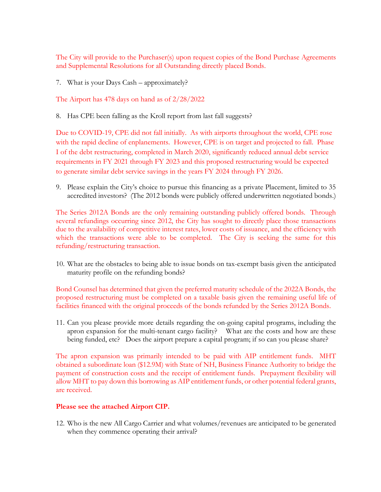The City will provide to the Purchaser(s) upon request copies of the Bond Purchase Agreements and Supplemental Resolutions for all Outstanding directly placed Bonds.

7. What is your Days Cash – approximately?

The Airport has 478 days on hand as of 2/28/2022

8. Has CPE been falling as the Kroll report from last fall suggests?

Due to COVID-19, CPE did not fall initially. As with airports throughout the world, CPE rose with the rapid decline of enplanements. However, CPE is on target and projected to fall. Phase I of the debt restructuring, completed in March 2020, significantly reduced annual debt service requirements in FY 2021 through FY 2023 and this proposed restructuring would be expected to generate similar debt service savings in the years FY 2024 through FY 2026.

9. Please explain the City's choice to pursue this financing as a private Placement, limited to 35 accredited investors? (The 2012 bonds were publicly offered underwritten negotiated bonds.)

The Series 2012A Bonds are the only remaining outstanding publicly offered bonds. Through several refundings occurring since 2012, the City has sought to directly place those transactions due to the availability of competitive interest rates, lower costs of issuance, and the efficiency with which the transactions were able to be completed. The City is seeking the same for this refunding/restructuring transaction.

10. What are the obstacles to being able to issue bonds on tax-exempt basis given the anticipated maturity profile on the refunding bonds?

Bond Counsel has determined that given the preferred maturity schedule of the 2022A Bonds, the proposed restructuring must be completed on a taxable basis given the remaining useful life of facilities financed with the original proceeds of the bonds refunded by the Series 2012A Bonds.

11. Can you please provide more details regarding the on-going capital programs, including the apron expansion for the multi-tenant cargo facility? What are the costs and how are these being funded, etc? Does the airport prepare a capital program; if so can you please share?

The apron expansion was primarily intended to be paid with AIP entitlement funds. MHT obtained a subordinate loan (\$12.9M) with State of NH, Business Finance Authority to bridge the payment of construction costs and the receipt of entitlement funds. Prepayment flexibility will allow MHT to pay down this borrowing as AIP entitlement funds, or other potential federal grants, are received.

## **Please see the attached Airport CIP.**

12. Who is the new All Cargo Carrier and what volumes/revenues are anticipated to be generated when they commence operating their arrival?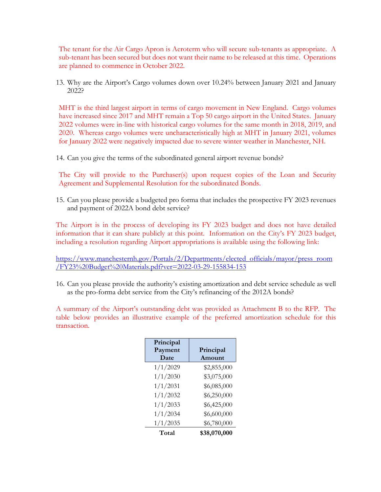The tenant for the Air Cargo Apron is Aeroterm who will secure sub-tenants as appropriate. A sub-tenant has been secured but does not want their name to be released at this time. Operations are planned to commence in October 2022.

13. Why are the Airport's Cargo volumes down over 10.24% between January 2021 and January 2022?

MHT is the third largest airport in terms of cargo movement in New England. Cargo volumes have increased since 2017 and MHT remain a Top 50 cargo airport in the United States. January 2022 volumes were in-line with historical cargo volumes for the same month in 2018, 2019, and 2020. Whereas cargo volumes were uncharacteristically high at MHT in January 2021, volumes for January 2022 were negatively impacted due to severe winter weather in Manchester, NH.

14. Can you give the terms of the subordinated general airport revenue bonds?

The City will provide to the Purchaser(s) upon request copies of the Loan and Security Agreement and Supplemental Resolution for the subordinated Bonds.

15. Can you please provide a budgeted pro forma that includes the prospective FY 2023 revenues and payment of 2022A bond debt service?

The Airport is in the process of developing its FY 2023 budget and does not have detailed information that it can share publicly at this point. Information on the City's FY 2023 budget, including a resolution regarding Airport appropriations is available using the following link:

[https://www.manchesternh.gov/Portals/2/Departments/elected\\_officials/mayor/press\\_room](https://www.manchesternh.gov/Portals/2/Departments/elected_officials/mayor/press_room/FY23%20Budget%20Materials.pdf?ver=2022-03-29-155834-153) [/FY23%20Budget%20Materials.pdf?ver=2022-03-29-155834-153](https://www.manchesternh.gov/Portals/2/Departments/elected_officials/mayor/press_room/FY23%20Budget%20Materials.pdf?ver=2022-03-29-155834-153)

16. Can you please provide the authority's existing amortization and debt service schedule as well as the pro-forma debt service from the City's refinancing of the 2012A bonds?

A summary of the Airport's outstanding debt was provided as Attachment B to the RFP. The table below provides an illustrative example of the preferred amortization schedule for this transaction.

| Principal |              |  |  |
|-----------|--------------|--|--|
| Payment   | Principal    |  |  |
| Date      | Amount       |  |  |
| 1/1/2029  | \$2,855,000  |  |  |
| 1/1/2030  | \$3,075,000  |  |  |
| 1/1/2031  | \$6,085,000  |  |  |
| 1/1/2032  | \$6,250,000  |  |  |
| 1/1/2033  | \$6,425,000  |  |  |
| 1/1/2034  | \$6,600,000  |  |  |
| 1/1/2035  | \$6,780,000  |  |  |
| Total     | \$38,070,000 |  |  |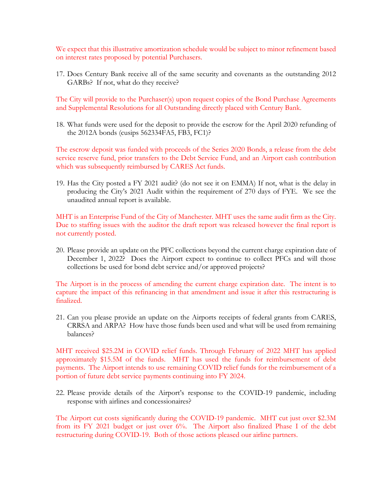We expect that this illustrative amortization schedule would be subject to minor refinement based on interest rates proposed by potential Purchasers.

17. Does Century Bank receive all of the same security and covenants as the outstanding 2012 GARBs? If not, what do they receive?

The City will provide to the Purchaser(s) upon request copies of the Bond Purchase Agreements and Supplemental Resolutions for all Outstanding directly placed with Century Bank.

18. What funds were used for the deposit to provide the escrow for the April 2020 refunding of the 2012A bonds (cusips 562334FA5, FB3, FC1)?

The escrow deposit was funded with proceeds of the Series 2020 Bonds, a release from the debt service reserve fund, prior transfers to the Debt Service Fund, and an Airport cash contribution which was subsequently reimbursed by CARES Act funds.

19. Has the City posted a FY 2021 audit? (do not see it on EMMA) If not, what is the delay in producing the City's 2021 Audit within the requirement of 270 days of FYE. We see the unaudited annual report is available.

MHT is an Enterprise Fund of the City of Manchester. MHT uses the same audit firm as the City. Due to staffing issues with the auditor the draft report was released however the final report is not currently posted.

20. Please provide an update on the PFC collections beyond the current charge expiration date of December 1, 2022? Does the Airport expect to continue to collect PFCs and will those collections be used for bond debt service and/or approved projects?

The Airport is in the process of amending the current charge expiration date. The intent is to capture the impact of this refinancing in that amendment and issue it after this restructuring is finalized.

21. Can you please provide an update on the Airports receipts of federal grants from CARES, CRRSA and ARPA? How have those funds been used and what will be used from remaining balances?

MHT received \$25.2M in COVID relief funds. Through February of 2022 MHT has applied approximately \$15.5M of the funds. MHT has used the funds for reimbursement of debt payments. The Airport intends to use remaining COVID relief funds for the reimbursement of a portion of future debt service payments continuing into FY 2024.

22. Please provide details of the Airport's response to the COVID-19 pandemic, including response with airlines and concessionaires?

The Airport cut costs significantly during the COVID-19 pandemic. MHT cut just over \$2.3M from its FY 2021 budget or just over 6%. The Airport also finalized Phase I of the debt restructuring during COVID-19. Both of those actions pleased our airline partners.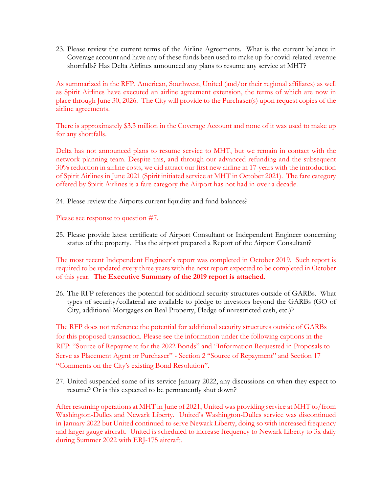23. Please review the current terms of the Airline Agreements. What is the current balance in Coverage account and have any of these funds been used to make up for covid-related revenue shortfalls? Has Delta Airlines announced any plans to resume any service at MHT?

As summarized in the RFP, American, Southwest, United (and/or their regional affiliates) as well as Spirit Airlines have executed an airline agreement extension, the terms of which are now in place through June 30, 2026. The City will provide to the Purchaser(s) upon request copies of the airline agreements.

There is approximately \$3.3 million in the Coverage Account and none of it was used to make up for any shortfalls.

Delta has not announced plans to resume service to MHT, but we remain in contact with the network planning team. Despite this, and through our advanced refunding and the subsequent 30% reduction in airline costs, we did attract our first new airline in 17-years with the introduction of Spirit Airlines in June 2021 (Spirit initiated service at MHT in October 2021). The fare category offered by Spirit Airlines is a fare category the Airport has not had in over a decade.

24. Please review the Airports current liquidity and fund balances?

Please see response to question #7.

25. Please provide latest certificate of Airport Consultant or Independent Engineer concerning status of the property. Has the airport prepared a Report of the Airport Consultant?

The most recent Independent Engineer's report was completed in October 2019. Such report is required to be updated every three years with the next report expected to be completed in October of this year. **The Executive Summary of the 2019 report is attached.**

26. The RFP references the potential for additional security structures outside of GARBs. What types of security/collateral are available to pledge to investors beyond the GARBs (GO of City, additional Mortgages on Real Property, Pledge of unrestricted cash, etc.)?

The RFP does not reference the potential for additional security structures outside of GARBs for this proposed transaction. Please see the information under the following captions in the RFP: "Source of Repayment for the 2022 Bonds" and "Information Requested in Proposals to Serve as Placement Agent or Purchaser" - Section 2 "Source of Repayment" and Section 17 "Comments on the City's existing Bond Resolution".

27. United suspended some of its service January 2022, any discussions on when they expect to resume? Or is this expected to be permanently shut down?

After resuming operations at MHT in June of 2021, United was providing service at MHT to/from Washington-Dulles and Newark Liberty. United's Washington-Dulles service was discontinued in January 2022 but United continued to serve Newark Liberty, doing so with increased frequency and larger gauge aircraft. United is scheduled to increase frequency to Newark Liberty to 3x daily during Summer 2022 with ERJ-175 aircraft.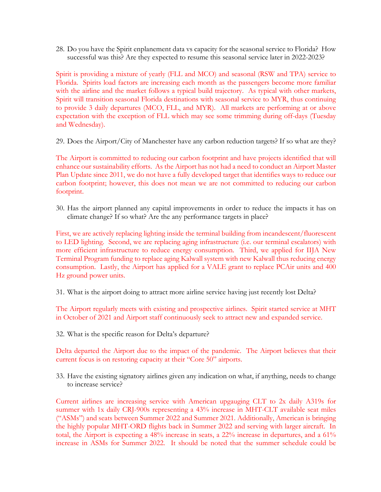28. Do you have the Spirit enplanement data vs capacity for the seasonal service to Florida? How successful was this? Are they expected to resume this seasonal service later in 2022-2023?

Spirit is providing a mixture of yearly (FLL and MCO) and seasonal (RSW and TPA) service to Florida. Spirits load factors are increasing each month as the passengers become more familiar with the airline and the market follows a typical build trajectory. As typical with other markets, Spirit will transition seasonal Florida destinations with seasonal service to MYR, thus continuing to provide 3 daily departures (MCO, FLL, and MYR). All markets are performing at or above expectation with the exception of FLL which may see some trimming during off-days (Tuesday and Wednesday).

29. Does the Airport/City of Manchester have any carbon reduction targets? If so what are they?

The Airport is committed to reducing our carbon footprint and have projects identified that will enhance our sustainability efforts. As the Airport has not had a need to conduct an Airport Master Plan Update since 2011, we do not have a fully developed target that identifies ways to reduce our carbon footprint; however, this does not mean we are not committed to reducing our carbon footprint.

30. Has the airport planned any capital improvements in order to reduce the impacts it has on climate change? If so what? Are the any performance targets in place?

First, we are actively replacing lighting inside the terminal building from incandescent/fluorescent to LED lighting. Second, we are replacing aging infrastructure (i.e. our terminal escalators) with more efficient infrastructure to reduce energy consumption. Third, we applied for IIJA New Terminal Program funding to replace aging Kalwall system with new Kalwall thus reducing energy consumption. Lastly, the Airport has applied for a VALE grant to replace PCAir units and 400 Hz ground power units.

31. What is the airport doing to attract more airline service having just recently lost Delta?

The Airport regularly meets with existing and prospective airlines. Spirit started service at MHT in October of 2021 and Airport staff continuously seek to attract new and expanded service.

32. What is the specific reason for Delta's departure?

Delta departed the Airport due to the impact of the pandemic. The Airport believes that their current focus is on restoring capacity at their "Core 50" airports.

33. Have the existing signatory airlines given any indication on what, if anything, needs to change to increase service?

Current airlines are increasing service with American upgauging CLT to 2x daily A319s for summer with 1x daily CRJ-900s representing a 43% increase in MHT-CLT available seat miles ("ASMs") and seats between Summer 2022 and Summer 2021. Additionally, American is bringing the highly popular MHT-ORD flights back in Summer 2022 and serving with larger aircraft. In total, the Airport is expecting a 48% increase in seats, a 22% increase in departures, and a 61% increase in ASMs for Summer 2022. It should be noted that the summer schedule could be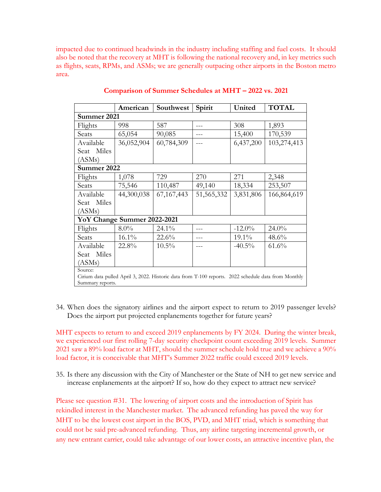impacted due to continued headwinds in the industry including staffing and fuel costs. It should also be noted that the recovery at MHT is following the national recovery and, in key metrics such as flights, seats, RPMs, and ASMs; we are generally outpacing other airports in the Boston metro area.

|                                                                                                     | American   | Southwest    | Spirit       | United    | <b>TOTAL</b> |  |  |
|-----------------------------------------------------------------------------------------------------|------------|--------------|--------------|-----------|--------------|--|--|
| Summer 2021                                                                                         |            |              |              |           |              |  |  |
| Flights                                                                                             | 998        | 587          |              | 308       | 1,893        |  |  |
| Seats                                                                                               | 65,054     | 90,085       |              | 15,400    | 170,539      |  |  |
| Available                                                                                           | 36,052,904 | 60,784,309   |              | 6,437,200 | 103,274,413  |  |  |
| Seat Miles                                                                                          |            |              |              |           |              |  |  |
| (ASMs)                                                                                              |            |              |              |           |              |  |  |
| Summer 2022                                                                                         |            |              |              |           |              |  |  |
| Flights                                                                                             | 1,078      | 729          | 270          | 271       | 2,348        |  |  |
| Seats                                                                                               | 75,546     | 110,487      | 49,140       | 18,334    | 253,507      |  |  |
| Available                                                                                           | 44,300,038 | 67, 167, 443 | 51, 565, 332 | 3,831,806 | 166,864,619  |  |  |
| Seat Miles                                                                                          |            |              |              |           |              |  |  |
| (ASMs)                                                                                              |            |              |              |           |              |  |  |
| YoY Change Summer 2022-2021                                                                         |            |              |              |           |              |  |  |
| Flights                                                                                             | $8.0\%$    | $24.1\%$     |              | $-12.0\%$ | $24.0\%$     |  |  |
| Seats                                                                                               | 16.1%      | 22.6%        |              | 19.1%     | 48.6%        |  |  |
| Available                                                                                           | 22.8%      | $10.5\%$     |              | $-40.5\%$ | 61.6%        |  |  |
| Seat Miles                                                                                          |            |              |              |           |              |  |  |
| (ASMs)                                                                                              |            |              |              |           |              |  |  |
| Source:                                                                                             |            |              |              |           |              |  |  |
| Cirium data pulled April 3, 2022. Historic data from T-100 reports. 2022 schedule data from Monthly |            |              |              |           |              |  |  |
| Summary reports.                                                                                    |            |              |              |           |              |  |  |

## **Comparison of Summer Schedules at MHT – 2022 vs. 2021**

34. When does the signatory airlines and the airport expect to return to 2019 passenger levels? Does the airport put projected enplanements together for future years?

MHT expects to return to and exceed 2019 enplanements by FY 2024. During the winter break, we experienced our first rolling 7-day security checkpoint count exceeding 2019 levels. Summer 2021 saw a 89% load factor at MHT, should the summer schedule hold true and we achieve a 90% load factor, it is conceivable that MHT's Summer 2022 traffic could exceed 2019 levels.

35. Is there any discussion with the City of Manchester or the State of NH to get new service and increase enplanements at the airport? If so, how do they expect to attract new service?

Please see question #31. The lowering of airport costs and the introduction of Spirit has rekindled interest in the Manchester market. The advanced refunding has paved the way for MHT to be the lowest cost airport in the BOS, PVD, and MHT triad, which is something that could not be said pre-advanced refunding. Thus, any airline targeting incremental growth, or any new entrant carrier, could take advantage of our lower costs, an attractive incentive plan, the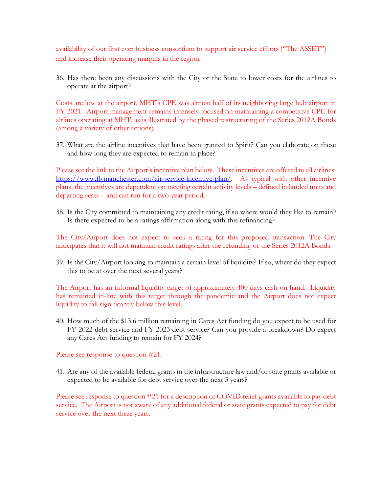availability of our first ever business consortium to support air service efforts ("The ASSET") and increase their operating margins in the region.

36. Has there been any discussions with the City or the State to lower costs for the airlines to operate at the airport?

Costs are low at the airport, MHT's CPE was almost half of its neighboring large hub airport in FY 2021. Airport management remains intensely focused on maintaining a competitive CPE for airlines operating at MHT, as is illustrated by the phased restructuring of the Series 2012A Bonds (among a variety of other actions).

37. What are the airline incentives that have been granted to Spirit? Can you elaborate on these and how long they are expected to remain in place?

Please see the link to the Airport's incentive plan below. These incentives are offered to all airlines. [https://www.flymanchester.com/air-service-incentive-plan/.](https://www.flymanchester.com/air-service-incentive-plan/) As typical with other incentive plans, the incentives are dependent on meeting certain activity levels – defined in landed units and departing seats – and can run for a two-year period.

38. Is the City committed to maintaining any credit rating, if so where would they like to remain? Is there expected to be a ratings affirmation along with this refinancing?

The City/Airport does not expect to seek a rating for this proposed transaction. The City anticipates that it will not maintain credit ratings after the refunding of the Series 2012A Bonds.

39. Is the City/Airport looking to maintain a certain level of liquidity? If so, where do they expect this to be at over the next several years?

The Airport has an informal liquidity target of approximately 400 days cash on hand. Liquidity has remained in-line with this target through the pandemic and the Airport does not expect liquidity to fall significantly below this level.

40. How much of the \$13.6 million remaining in Cares Act funding do you expect to be used for FY 2022 debt service and FY 2023 debt service? Can you provide a breakdown? Do expect any Cares Act funding to remain for FY 2024?

Please see response to question #21.

41. Are any of the available federal grants in the infrastructure law and/or state grants available or expected to be available for debt service over the next 3 years?

Please see response to question #21 for a description of COVID relief grants available to pay debt service. The Airport is not aware of any additional federal or state grants expected to pay for debt service over the next three years.